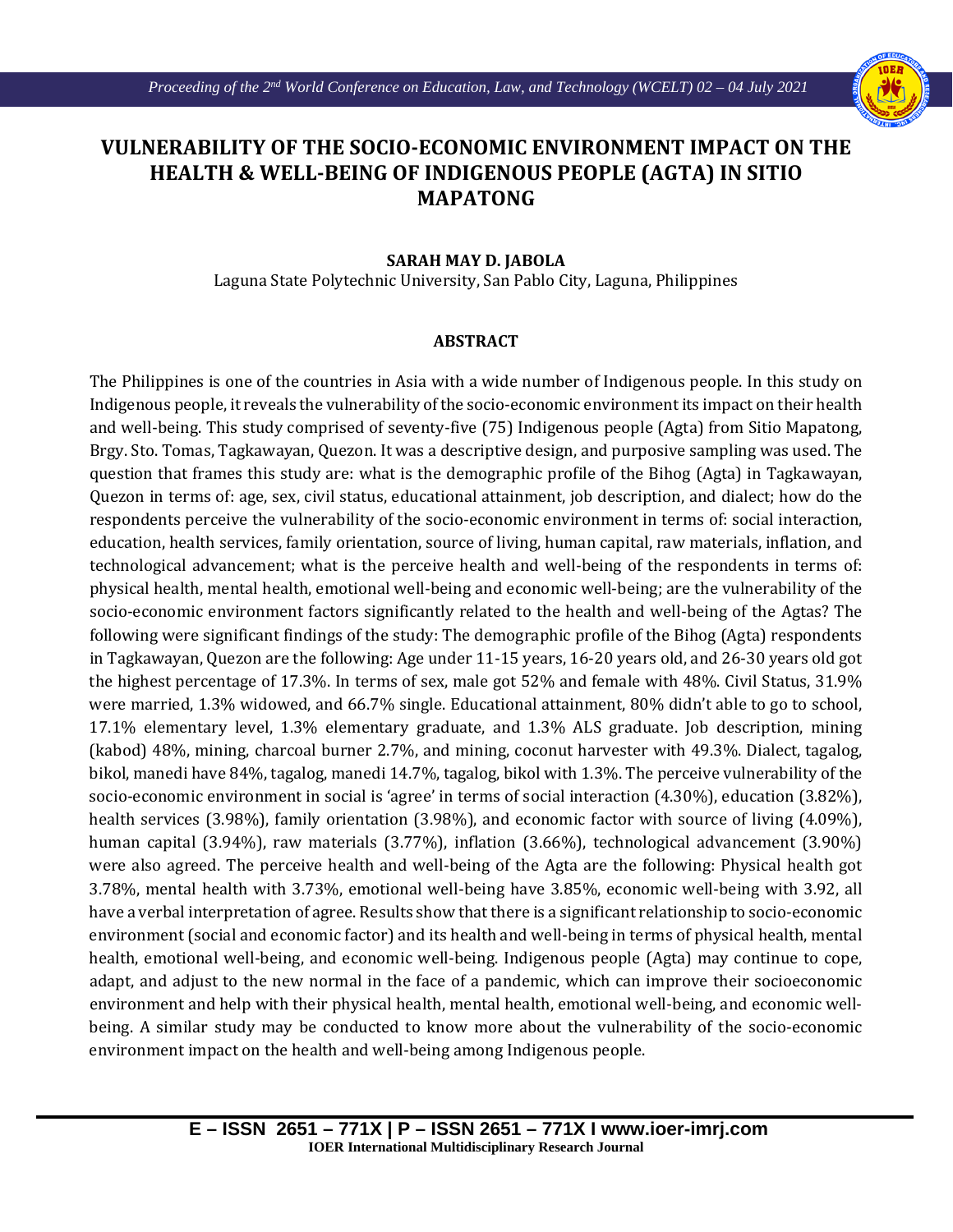

## **VULNERABILITY OF THE SOCIO-ECONOMIC ENVIRONMENT IMPACT ON THE HEALTH & WELL-BEING OF INDIGENOUS PEOPLE (AGTA) IN SITIO MAPATONG**

## **SARAH MAY D. JABOLA**

Laguna State Polytechnic University, San Pablo City, Laguna, Philippines

## **ABSTRACT**

The Philippines is one of the countries in Asia with a wide number of Indigenous people. In this study on Indigenous people, it reveals the vulnerability of the socio-economic environment its impact on their health and well-being. This study comprised of seventy-five (75) Indigenous people (Agta) from Sitio Mapatong, Brgy. Sto. Tomas, Tagkawayan, Quezon. It was a descriptive design, and purposive sampling was used. The question that frames this study are: what is the demographic profile of the Bihog (Agta) in Tagkawayan, Quezon in terms of: age, sex, civil status, educational attainment, job description, and dialect; how do the respondents perceive the vulnerability of the socio-economic environment in terms of: social interaction, education, health services, family orientation, source of living, human capital, raw materials, inflation, and technological advancement; what is the perceive health and well-being of the respondents in terms of: physical health, mental health, emotional well-being and economic well-being; are the vulnerability of the socio-economic environment factors significantly related to the health and well-being of the Agtas? The following were significant findings of the study: The demographic profile of the Bihog (Agta) respondents in Tagkawayan, Quezon are the following: Age under 11-15 years, 16-20 years old, and 26-30 years old got the highest percentage of 17.3%. In terms of sex, male got 52% and female with 48%. Civil Status, 31.9% were married, 1.3% widowed, and 66.7% single. Educational attainment, 80% didn't able to go to school, 17.1% elementary level, 1.3% elementary graduate, and 1.3% ALS graduate. Job description, mining (kabod) 48%, mining, charcoal burner 2.7%, and mining, coconut harvester with 49.3%. Dialect, tagalog, bikol, manedi have 84%, tagalog, manedi 14.7%, tagalog, bikol with 1.3%. The perceive vulnerability of the socio-economic environment in social is 'agree' in terms of social interaction (4.30%), education (3.82%), health services (3.98%), family orientation (3.98%), and economic factor with source of living (4.09%), human capital (3.94%), raw materials (3.77%), inflation (3.66%), technological advancement (3.90%) were also agreed. The perceive health and well-being of the Agta are the following: Physical health got 3.78%, mental health with 3.73%, emotional well-being have 3.85%, economic well-being with 3.92, all have a verbal interpretation of agree. Results show that there is a significant relationship to socio-economic environment (social and economic factor) and its health and well-being in terms of physical health, mental health, emotional well-being, and economic well-being. Indigenous people (Agta) may continue to cope, adapt, and adjust to the new normal in the face of a pandemic, which can improve their socioeconomic environment and help with their physical health, mental health, emotional well-being, and economic wellbeing. A similar study may be conducted to know more about the vulnerability of the socio-economic environment impact on the health and well-being among Indigenous people.